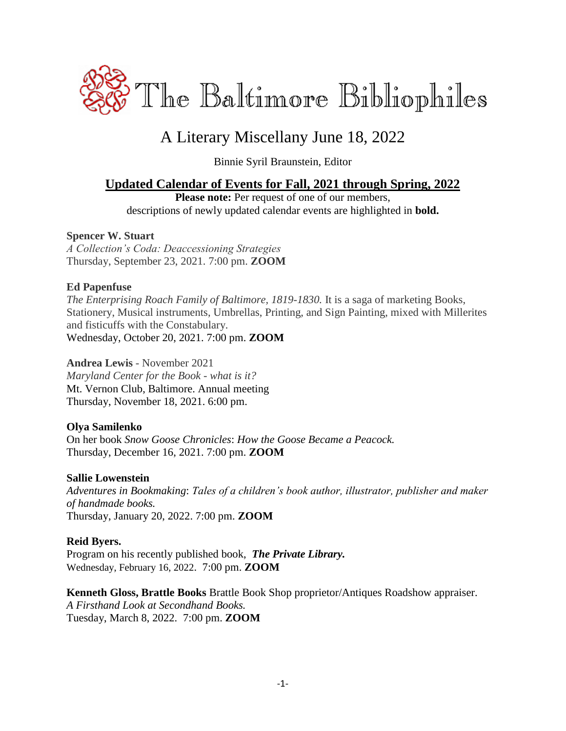

# A Literary Miscellany June 18, 2022

Binnie Syril Braunstein, Editor

## **Updated Calendar of Events for Fall, 2021 through Spring, 2022**

Please note: Per request of one of our members, descriptions of newly updated calendar events are highlighted in **bold.**

#### **Spencer W. Stuart**

*A Collection's Coda: Deaccessioning Strategies* Thursday, September 23, 2021. 7:00 pm. **ZOOM**

#### **Ed Papenfuse**

*The Enterprising Roach Family of Baltimore, 1819-1830.* It is a saga of marketing Books, Stationery, Musical instruments, Umbrellas, Printing, and Sign Painting, mixed with Millerites and fisticuffs with the Constabulary. Wednesday, October 20, 2021. 7:00 pm. **ZOOM**

#### **Andrea Lewis** - November 2021

*Maryland Center for the Book - what is it?* Mt. Vernon Club, Baltimore. Annual meeting Thursday, November 18, 2021. 6:00 pm.

#### **Olya Samilenko**

On her book *Snow Goose Chronicles*: *How the Goose Became a Peacock.* Thursday, December 16, 2021. 7:00 pm. **ZOOM**

#### **Sallie Lowenstein**

*Adventures in Bookmaking*: *Tales of a children's book author, illustrator, publisher and maker of handmade books.* Thursday, January 20, 2022. 7:00 pm. **ZOOM**

#### **Reid Byers.**

Program on his recently published book,*The Private Library.* Wednesday, February 16, 2022. 7:00 pm. **ZOOM**

**Kenneth Gloss, Brattle Books** Brattle Book Shop proprietor/Antiques Roadshow appraiser. *A Firsthand Look at Secondhand Books.* Tuesday, March 8, 2022. 7:00 pm. **ZOOM**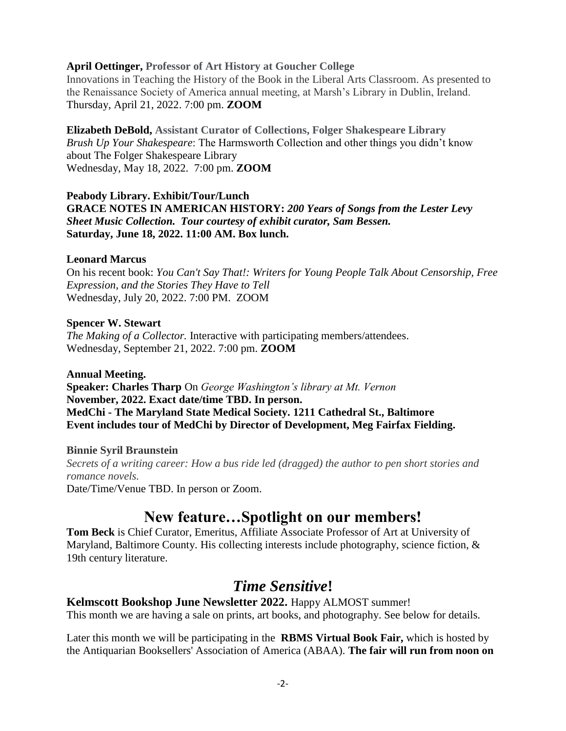#### **April Oettinger, Professor of Art History at Goucher College**

Innovations in Teaching the History of the Book in the Liberal Arts Classroom. As presented to the Renaissance Society of America annual meeting, at Marsh's Library in Dublin, Ireland. Thursday, April 21, 2022. 7:00 pm. **ZOOM**

**Elizabeth DeBold, Assistant Curator of Collections, Folger Shakespeare Library** *Brush Up Your Shakespeare*: The Harmsworth Collection and other things you didn't know about The Folger Shakespeare Library Wednesday, May 18, 2022. 7:00 pm. **ZOOM**

#### **Peabody Library. Exhibit/Tour/Lunch GRACE NOTES IN AMERICAN HISTORY:** *200 Years of Songs from the Lester Levy Sheet Music Collection. Tour courtesy of exhibit curator, Sam Bessen.* **Saturday, June 18, 2022. 11:00 AM. Box lunch.**

#### **Leonard Marcus**

On his recent book: *You Can't Say That!: Writers for Young People Talk About Censorship, Free Expression, and the Stories They Have to Tell* Wednesday, July 20, 2022. 7:00 PM. ZOOM

#### **Spencer W. Stewart**

*The Making of a Collector.* Interactive with participating members/attendees. Wednesday, September 21, 2022. 7:00 pm. **ZOOM**

#### **Annual Meeting.**

**Speaker: Charles Tharp** On *George Washington's library at Mt. Vernon* **November, 2022. Exact date/time TBD. In person. MedChi - The Maryland State Medical Society. 1211 Cathedral St., Baltimore Event includes tour of MedChi by Director of Development, Meg Fairfax Fielding.**

**Binnie Syril Braunstein** *Secrets of a writing career: How a bus ride led (dragged) the author to pen short stories and romance novels.* Date/Time/Venue TBD. In person or Zoom.

## **New feature…Spotlight on our members!**

**Tom Beck** is Chief Curator, Emeritus, Affiliate Associate Professor of Art at University of Maryland, Baltimore County. His collecting interests include photography, science fiction, & 19th century literature.

## *Time Sensitive***!**

**Kelmscott Bookshop June Newsletter 2022.** Happy ALMOST summer! This month we are having a sale on prints, art books, and photography. See below for details.

Later this month we will be participating in the **RBMS Virtual Book Fair,** which is hosted by the Antiquarian Booksellers' Association of America (ABAA). **The fair will run from noon on**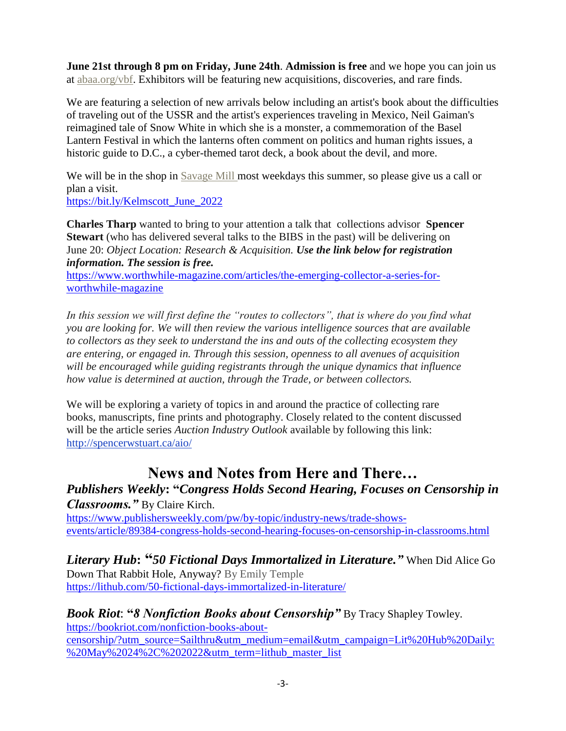**June 21st through 8 pm on Friday, June 24th**. **Admission is free** and we hope you can join us at [abaa.org/vbf.](https://mailtrack.io/trace/link/99408a2250d4b59bc4a166f70b1a6f1ae391f7e1?url=http%3A%2F%2Fabaa.org%2Fvbf&userId=6395794&signature=7ffe9570d44ac3f4&i=036409a3-f61f-4032-9d69-34cd1c9bd6f9&utm_source=constantcontact&utm_medium=email&utm_campaign=newsletter) Exhibitors will be featuring new acquisitions, discoveries, and rare finds.

We are featuring a selection of new arrivals below including an artist's book about the difficulties of traveling out of the USSR and the artist's experiences traveling in Mexico, Neil Gaiman's reimagined tale of Snow White in which she is a monster, a commemoration of the Basel Lantern Festival in which the lanterns often comment on politics and human rights issues, a historic guide to D.C., a cyber-themed tarot deck, a book about the devil, and more.

We will be in the shop in [Savage Mill m](https://www.savagemill.com/?utm_source=constantcontact&utm_medium=email&utm_campaign=newsletter)ost weekdays this summer, so please give us a call or plan a visit.

[https://bit.ly/Kelmscott\\_June\\_2022](https://bit.ly/Kelmscott_June_2022)

**Charles Tharp** wanted to bring to your attention a talk that collections advisor **Spencer Stewart** (who has delivered several talks to the BIBS in the past) will be delivering on June 20: *Object Location: Research & Acquisition. Use the link below for registration information. The session is free.*

[https://www.worthwhile-magazine.com/articles/the-emerging-collector-a-series-for](https://www.worthwhile-magazine.com/articles/the-emerging-collector-a-series-for-worthwhile-magazine)[worthwhile-magazine](https://www.worthwhile-magazine.com/articles/the-emerging-collector-a-series-for-worthwhile-magazine)

*In this session we will first define the "routes to collectors", that is where do you find what you are looking for. We will then review the various intelligence sources that are available to collectors as they seek to understand the ins and outs of the collecting ecosystem they are entering, or engaged in. Through this session, openness to all avenues of acquisition will be encouraged while guiding registrants through the unique dynamics that influence how value is determined at auction, through the Trade, or between collectors.*

We will be exploring a variety of topics in and around the practice of collecting rare books, manuscripts, fine prints and photography. Closely related to the content discussed will be the article series *Auction Industry Outlook* available by following this link: <http://spencerwstuart.ca/aio/>

# **News and Notes from Here and There…**

*Publishers Weekly***: "***Congress Holds Second Hearing, Focuses on Censorship in Classrooms."* By Claire Kirch.

[https://www.publishersweekly.com/pw/by-topic/industry-news/trade-shows](https://www.publishersweekly.com/pw/by-topic/industry-news/trade-shows-events/article/89384-congress-holds-second-hearing-focuses-on-censorship-in-classrooms.html)[events/article/89384-congress-holds-second-hearing-focuses-on-censorship-in-classrooms.html](https://www.publishersweekly.com/pw/by-topic/industry-news/trade-shows-events/article/89384-congress-holds-second-hearing-focuses-on-censorship-in-classrooms.html)

*Literary Hub***: "***50 Fictional Days Immortalized in Literature."* When Did Alice Go Down That Rabbit Hole, Anyway? By [Emily Temple](https://lithub.com/author/emily-temple/) <https://lithub.com/50-fictional-days-immortalized-in-literature/>

*Book Riot*: **"***8 Nonfiction Books about Censorship"* By Tracy Shapley Towley. [https://bookriot.com/nonfiction-books-about](https://bookriot.com/nonfiction-books-about-censorship/?utm_source=Sailthru&utm_medium=email&utm_campaign=Lit%20Hub%20Daily:%20May%2024%2C%202022&utm_term=lithub_master_list)[censorship/?utm\\_source=Sailthru&utm\\_medium=email&utm\\_campaign=Lit%20Hub%20Daily:](https://bookriot.com/nonfiction-books-about-censorship/?utm_source=Sailthru&utm_medium=email&utm_campaign=Lit%20Hub%20Daily:%20May%2024%2C%202022&utm_term=lithub_master_list) [%20May%2024%2C%202022&utm\\_term=lithub\\_master\\_list](https://bookriot.com/nonfiction-books-about-censorship/?utm_source=Sailthru&utm_medium=email&utm_campaign=Lit%20Hub%20Daily:%20May%2024%2C%202022&utm_term=lithub_master_list)